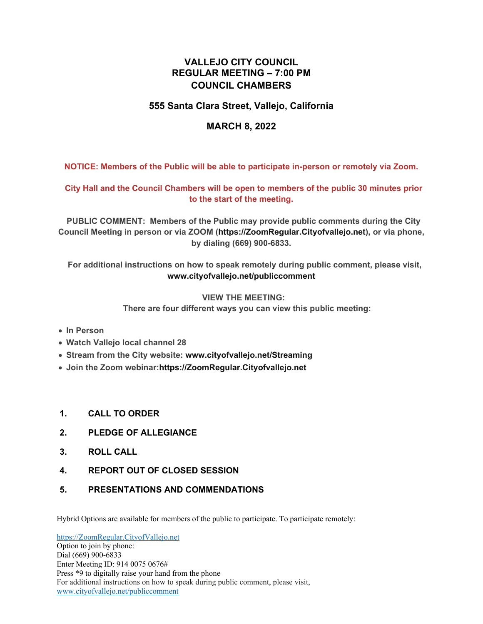# **VALLEJO CITY COUNCIL REGULAR MEETING – 7:00 PM COUNCIL CHAMBERS**

# **555 Santa Clara Street, Vallejo, California**

# **MARCH 8, 2022**

**NOTICE: Members of the Public will be able to participate in-person or remotely via Zoom.** 

# **City Hall and the Council Chambers will be open to members of the public 30 minutes prior to the start of the meeting.**

 **PUBLIC COMMENT: Members of the Public may provide public comments during the City Council Meeting in person or via ZOOM (https://ZoomRegular.Cityofvallejo.net), or via phone, by dialing (669) 900-6833.**

 **For additional instructions on how to speak remotely during public comment, please visit, www.cityofvallejo.net/publiccomment**

#### **VIEW THE MEETING:**

 **There are four different ways you can view this public meeting:**

- **In Person**
- **Watch Vallejo local channel 28**
- **Stream from the City website: www.cityofvallejo.net/Streaming**
- **Join the Zoom webinar:https://ZoomRegular.Cityofvallejo.net**
- **1. CALL TO ORDER**
- **2. PLEDGE OF ALLEGIANCE**
- **3. ROLL CALL**
- **4. REPORT OUT OF CLOSED SESSION**
- **5. PRESENTATIONS AND COMMENDATIONS**

Hybrid Options are available for members of the public to participate. To participate remotely:

https://ZoomRegular.CityofVallejo.net Option to join by phone: Dial (669) 900-6833 Enter Meeting ID: 914 0075 0676# Press \*9 to digitally raise your hand from the phone For additional instructions on how to speak during public comment, please visit, www.cityofvallejo.net/publiccomment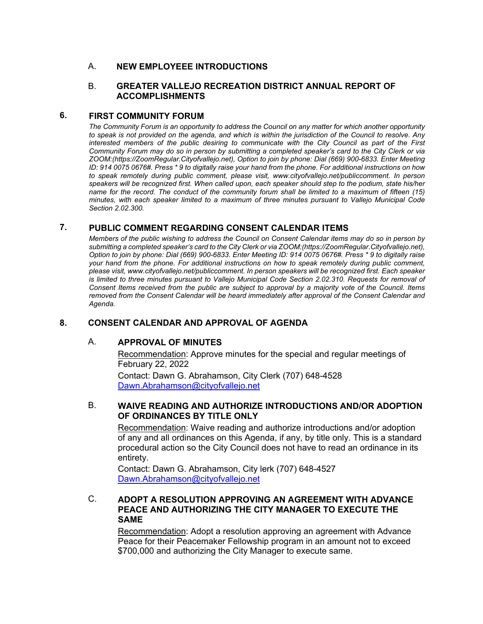# A. **NEW EMPLOYEEE INTRODUCTIONS**

#### B. **GREATER VALLEJO RECREATION DISTRICT ANNUAL REPORT OF ACCOMPLISHMENTS**

#### **6. FIRST COMMUNITY FORUM**

*The Community Forum is an opportunity to address the Council on any matter for which another opportunity to speak is not provided on the agenda, and which is within the jurisdiction of the Council to resolve. Any interested members of the public desiring to communicate with the City Council as part of the First Community Forum may do so in person by submitting a completed speaker's card to the City Clerk or via ZOOM:(https://ZoomRegular.Cityofvallejo.net), Option to join by phone: Dial (669) 900-6833. Enter Meeting ID: 914 0075 0676#. Press \* 9 to digitally raise your hand from the phone. For additional instructions on how to speak remotely during public comment, please visit, www.cityofvallejo.net/publiccomment. In person speakers will be recognized first. When called upon, each speaker should step to the podium, state his/her name for the record. The conduct of the community forum shall be limited to a maximum of fifteen (15) minutes, with each speaker limited to a maximum of three minutes pursuant to Vallejo Municipal Code Section 2.02.300.* 

# **7. PUBLIC COMMENT REGARDING CONSENT CALENDAR ITEMS**

*Members of the public wishing to address the Council on Consent Calendar items may do so in person by submitting a completed speaker's card to the City Clerk or via ZOOM:(https://ZoomRegular.Cityofvallejo.net), Option to join by phone: Dial (669) 900-6833. Enter Meeting ID: 914 0075 0676#. Press \* 9 to digitally raise your hand from the phone. For additional instructions on how to speak remotely during public comment, please visit, www.cityofvallejo.net/publiccomment. In person speakers will be recognized first. Each speaker is limited to three minutes pursuant to Vallejo Municipal Code Section 2.02.310. Requests for removal of Consent Items received from the public are subject to approval by a majority vote of the Council. Items removed from the Consent Calendar will be heard immediately after approval of the Consent Calendar and Agenda.*

# **8. CONSENT CALENDAR AND APPROVAL OF AGENDA**

# A. **APPROVAL OF MINUTES**

Recommendation: Approve minutes for the special and regular meetings of February 22, 2022

Contact: Dawn G. Abrahamson, City Clerk (707) 648-4528 Dawn.Abrahamson@cityofvallejo.net

#### B. **WAIVE READING AND AUTHORIZE INTRODUCTIONS AND/OR ADOPTION OF ORDINANCES BY TITLE ONLY**

Recommendation: Waive reading and authorize introductions and/or adoption of any and all ordinances on this Agenda, if any, by title only. This is a standard procedural action so the City Council does not have to read an ordinance in its entirety.

Contact: Dawn G. Abrahamson, City lerk (707) 648-4527 Dawn.Abrahamson@cityofvallejo.net

# C. **ADOPT A RESOLUTION APPROVING AN AGREEMENT WITH ADVANCE PEACE AND AUTHORIZING THE CITY MANAGER TO EXECUTE THE SAME**

Recommendation: Adopt a resolution approving an agreement with Advance Peace for their Peacemaker Fellowship program in an amount not to exceed \$700,000 and authorizing the City Manager to execute same.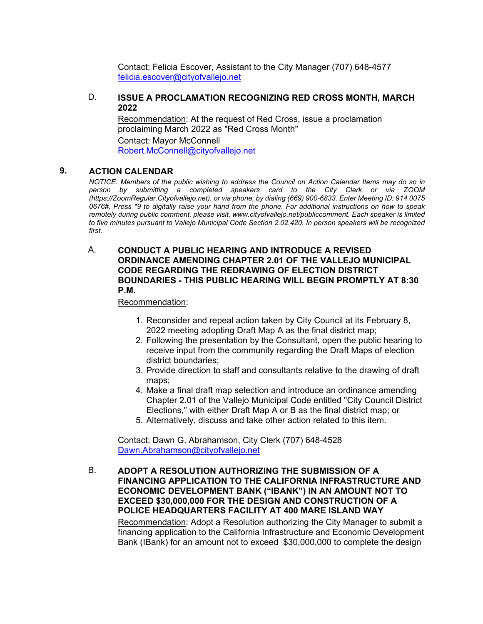Contact: Felicia Escover, Assistant to the City Manager (707) 648-4577 felicia.escover@cityofvallejo.net

#### D. **ISSUE A PROCLAMATION RECOGNIZING RED CROSS MONTH, MARCH 2022**

Recommendation: At the request of Red Cross, issue a proclamation proclaiming March 2022 as "Red Cross Month" Contact: Mayor McConnell Robert.McConnell@cityofvallejo.net

### **9. ACTION CALENDAR**

*NOTICE: Members of the public wishing to address the Council on Action Calendar Items may do so in person by submitting a completed speakers card to the City Clerk or via ZOOM (https://ZoomRegular.Cityofvallejo.net), or via phone, by dialing (669) 900-6833. Enter Meeting ID: 914 0075 0676#. Press \*9 to digitally raise your hand from the phone. For additional instructions on how to speak remotely during public comment, please visit, www.cityofvallejo.net/publiccomment. Each speaker is limited to five minutes pursuant to Vallejo Municipal Code Section 2.02.420. In person speakers will be recognized first.*

### A. **CONDUCT A PUBLIC HEARING AND INTRODUCE A REVISED ORDINANCE AMENDING CHAPTER 2.01 OF THE VALLEJO MUNICIPAL CODE REGARDING THE REDRAWING OF ELECTION DISTRICT BOUNDARIES - THIS PUBLIC HEARING WILL BEGIN PROMPTLY AT 8:30 P.M.**

Recommendation:

- 1. Reconsider and repeal action taken by City Council at its February 8, 2022 meeting adopting Draft Map A as the final district map;
- 2. Following the presentation by the Consultant, open the public hearing to receive input from the community regarding the Draft Maps of election district boundaries;
- 3. Provide direction to staff and consultants relative to the drawing of draft maps;
- 4. Make a final draft map selection and introduce an ordinance amending Chapter 2.01 of the Vallejo Municipal Code entitled "City Council District Elections," with either Draft Map A or B as the final district map; or
- 5. Alternatively, discuss and take other action related to this item.

Contact: Dawn G. Abrahamson, City Clerk (707) 648-4528 Dawn.Abrahamson@cityofvallejo.net

#### B. **ADOPT A RESOLUTION AUTHORIZING THE SUBMISSION OF A FINANCING APPLICATION TO THE CALIFORNIA INFRASTRUCTURE AND ECONOMIC DEVELOPMENT BANK ("IBANK") IN AN AMOUNT NOT TO EXCEED \$30,000,000 FOR THE DESIGN AND CONSTRUCTION OF A POLICE HEADQUARTERS FACILITY AT 400 MARE ISLAND WAY**

Recommendation: Adopt a Resolution authorizing the City Manager to submit a financing application to the California Infrastructure and Economic Development Bank (IBank) for an amount not to exceed \$30,000,000 to complete the design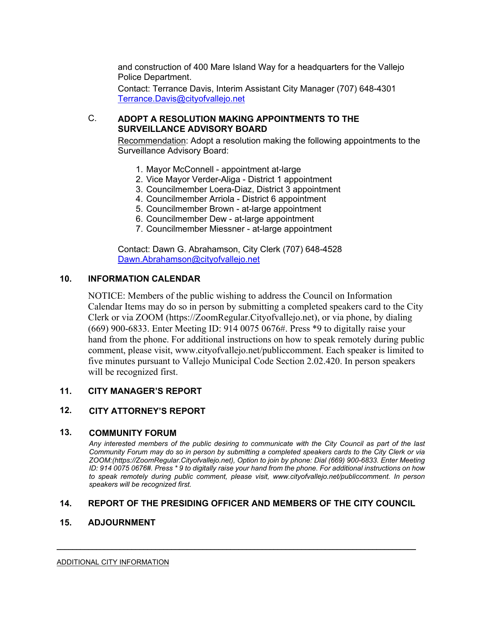and construction of 400 Mare Island Way for a headquarters for the Vallejo Police Department.

Contact: Terrance Davis, Interim Assistant City Manager (707) 648-4301 Terrance.Davis@cityofvallejo.net

# C. **ADOPT A RESOLUTION MAKING APPOINTMENTS TO THE SURVEILLANCE ADVISORY BOARD**

Recommendation: Adopt a resolution making the following appointments to the Surveillance Advisory Board:

- 1. Mayor McConnell appointment at-large
- 2. Vice Mayor Verder-Aliga District 1 appointment
- 3. Councilmember Loera-Diaz, District 3 appointment
- 4. Councilmember Arriola District 6 appointment
- 5. Councilmember Brown at-large appointment
- 6. Councilmember Dew at-large appointment
- 7. Councilmember Miessner at-large appointment

Contact: Dawn G. Abrahamson, City Clerk (707) 648-4528 Dawn.Abrahamson@cityofvallejo.net

# **10. INFORMATION CALENDAR**

NOTICE: Members of the public wishing to address the Council on Information Calendar Items may do so in person by submitting a completed speakers card to the City Clerk or via ZOOM (https://ZoomRegular.Cityofvallejo.net), or via phone, by dialing (669) 900-6833. Enter Meeting ID: 914 0075 0676#. Press \*9 to digitally raise your hand from the phone. For additional instructions on how to speak remotely during public comment, please visit, www.cityofvallejo.net/publiccomment. Each speaker is limited to five minutes pursuant to Vallejo Municipal Code Section 2.02.420. In person speakers will be recognized first.

# **11. CITY MANAGER'S REPORT**

# **12. CITY ATTORNEY'S REPORT**

#### **13. COMMUNITY FORUM**

*Any interested members of the public desiring to communicate with the City Council as part of the last Community Forum may do so in person by submitting a completed speakers cards to the City Clerk or via ZOOM:(https://ZoomRegular.Cityofvallejo.net), Option to join by phone: Dial (669) 900-6833. Enter Meeting ID: 914 0075 0676#. Press \* 9 to digitally raise your hand from the phone. For additional instructions on how to speak remotely during public comment, please visit, www.cityofvallejo.net/publiccomment. In person speakers will be recognized first.*

# **14. REPORT OF THE PRESIDING OFFICER AND MEMBERS OF THE CITY COUNCIL**

 $\mathcal{L}_\mathcal{L} = \mathcal{L}_\mathcal{L} = \mathcal{L}_\mathcal{L} = \mathcal{L}_\mathcal{L} = \mathcal{L}_\mathcal{L} = \mathcal{L}_\mathcal{L} = \mathcal{L}_\mathcal{L} = \mathcal{L}_\mathcal{L} = \mathcal{L}_\mathcal{L} = \mathcal{L}_\mathcal{L} = \mathcal{L}_\mathcal{L} = \mathcal{L}_\mathcal{L} = \mathcal{L}_\mathcal{L} = \mathcal{L}_\mathcal{L} = \mathcal{L}_\mathcal{L} = \mathcal{L}_\mathcal{L} = \mathcal{L}_\mathcal{L}$ 

#### **15. ADJOURNMENT**